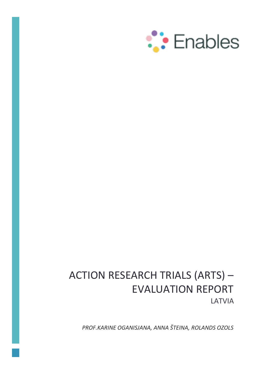

# ACTION RESEARCH TRIALS (ARTS) – EVALUATION REPORT LATVIA

*PROF.KARINE OGANISJANA, ANNA ŠTEINA, ROLANDS OZOLS*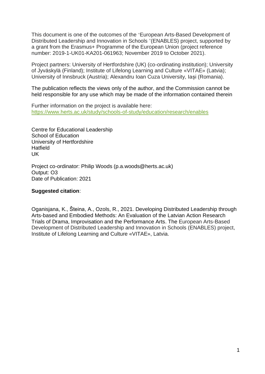This document is one of the outcomes of the 'European Arts-Based Development of Distributed Leadership and Innovation in Schools '(ENABLES) project, supported by a grant from the Erasmus+ Programme of the European Union (project reference number: 2019-1-UK01-KA201-061963; November 2019 to October 2021).

Project partners: University of Hertfordshire (UK) (co-ordinating institution); University of Jyväskylä (Finland); Institute of Lifelong Learning and Culture «VITAE» (Latvia); University of Innsbruck (Austria); Alexandru Ioan Cuza University, Iași (Romania).

The publication reflects the views only of the author, and the Commission cannot be held responsible for any use which may be made of the information contained therein

Further information on the project is available here: <https://www.herts.ac.uk/study/schools-of-study/education/research/enables>

Centre for Educational Leadership School of Education University of Hertfordshire **Hatfield** UK

Project co-ordinator: Philip Woods (p.a.woods@herts.ac.uk) Output: O3 Date of Publication: 2021

#### **Suggested citation**:

Oganisjana, K., Šteina, A., Ozols, R., 2021. Developing Distributed Leadership through Arts-based and Embodied Methods: An Evaluation of the Latvian Action Research Trials of Drama, Improvisation and the Performance Arts. The European Arts-Based Development of Distributed Leadership and Innovation in Schools (ENABLES) project, Institute of Lifelong Learning and Culture «VITAE», Latvia.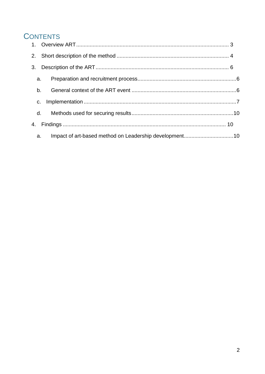# **CONTENTS**

| 2. |                |  |
|----|----------------|--|
| 3. |                |  |
|    | a.             |  |
|    | b <sub>1</sub> |  |
|    | C.             |  |
|    | d.             |  |
| 4. |                |  |
|    | a.             |  |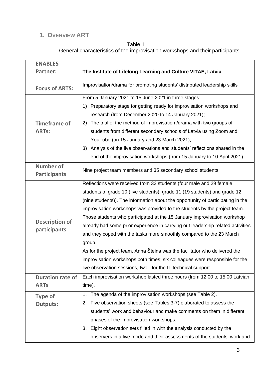# <span id="page-3-0"></span>**1. OVERVIEW ART**

# Table 1 General characteristics of the improvisation workshops and their participants

| <b>ENABLES</b>                          |                                                                                 |  |  |  |  |
|-----------------------------------------|---------------------------------------------------------------------------------|--|--|--|--|
| <b>Partner:</b>                         | The Institute of Lifelong Learning and Culture VITAE, Latvia                    |  |  |  |  |
| <b>Focus of ARTS:</b>                   | Improvisation/drama for promoting students' distributed leadership skills       |  |  |  |  |
|                                         | From 5 January 2021 to 15 June 2021 in three stages:                            |  |  |  |  |
|                                         | 1) Preparatory stage for getting ready for improvisation workshops and          |  |  |  |  |
|                                         | research (from December 2020 to 14 January 2021);                               |  |  |  |  |
| <b>Timeframe of</b>                     | 2) The trial of the method of improvisation /drama with two groups of           |  |  |  |  |
| <b>ARTs:</b>                            | students from different secondary schools of Latvia using Zoom and              |  |  |  |  |
|                                         | YouTube (on 15 January and 23 March 2021);                                      |  |  |  |  |
|                                         | 3) Analysis of the live observations and students' reflections shared in the    |  |  |  |  |
|                                         | end of the improvisation workshops (from 15 January to 10 April 2021).          |  |  |  |  |
| <b>Number of</b><br><b>Participants</b> | Nine project team members and 35 secondary school students                      |  |  |  |  |
|                                         | Reflections were received from 33 students (four male and 29 female             |  |  |  |  |
|                                         | students of grade 10 (five students), grade 11 (19 students) and grade 12       |  |  |  |  |
|                                         | (nine students)). The information about the opportunity of participating in the |  |  |  |  |
|                                         | improvisation workshops was provided to the students by the project team.       |  |  |  |  |
|                                         | Those students who participated at the 15 January improvisation workshop        |  |  |  |  |
| <b>Description of</b>                   | already had some prior experience in carrying out leadership related activities |  |  |  |  |
| participants                            | and they coped with the tasks more smoothly compared to the 23 March            |  |  |  |  |
|                                         | group.                                                                          |  |  |  |  |
|                                         | As for the project team, Anna Šteina was the facilitator who delivered the      |  |  |  |  |
|                                         | improvisation workshops both times; six colleagues were responsible for the     |  |  |  |  |
|                                         | live observation sessions, two - for the IT technical support.                  |  |  |  |  |
| <b>Duration rate of</b>                 | Each improvisation workshop lasted three hours (from 12:00 to 15:00 Latvian     |  |  |  |  |
| <b>ARTs</b>                             | time).                                                                          |  |  |  |  |
| <b>Type of</b>                          | 1. The agenda of the improvisation workshops (see Table 2).                     |  |  |  |  |
| <b>Outputs:</b>                         | 2. Five observation sheets (see Tables 3-7) elaborated to assess the            |  |  |  |  |
|                                         | students' work and behaviour and make comments on them in different             |  |  |  |  |
|                                         | phases of the improvisation workshops.                                          |  |  |  |  |
|                                         | 3. Eight observation sets filled in with the analysis conducted by the          |  |  |  |  |
|                                         | observers in a live mode and their assessments of the students' work and        |  |  |  |  |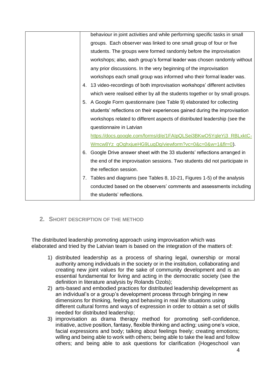|    | behaviour in joint activities and while performing specific tasks in small   |
|----|------------------------------------------------------------------------------|
|    | groups. Each observer was linked to one small group of four or five          |
|    | students. The groups were formed randomly before the improvisation           |
|    | workshops; also, each group's formal leader was chosen randomly without      |
|    | any prior discussions. In the very beginning of the improvisation            |
|    | workshops each small group was informed who their formal leader was.         |
|    | 4. 13 video-recordings of both improvisation workshops' different activities |
|    | which were realised either by all the students together or by small groups.  |
| 5. | A Google Form questionnaire (see Table 9) elaborated for collecting          |
|    | students' reflections on their experiences gained during the improvisation   |
|    | workshops related to different aspects of distributed leadership (see the    |
|    | questionnaire in Latvian                                                     |
|    | https://docs.google.com/forms/d/e/1FAIpQLSei3BKwO5YqleYj3_RBLxktC-           |
|    | Wmcw8Yz_qOghxjueHG9LuqDg/viewform?vc=0&c=0&w=1&flr=0).                       |
|    | 6. Google Drive answer sheet with the 33 students' reflections arranged in   |
|    | the end of the improvisation sessions. Two students did not participate in   |
|    | the reflection session.                                                      |
| 7. | Tables and diagrams (see Tables 8, 10-21, Figures 1-5) of the analysis       |
|    | conducted based on the observers' comments and assessments including         |
|    | the students' reflections.                                                   |
|    |                                                                              |

<span id="page-4-0"></span>**2. SHORT DESCRIPTION OF THE METHOD**

The distributed leadership promoting approach using improvisation which was elaborated and tried by the Latvian team is based on the integration of the matters of:

- 1) distributed leadership as a process of sharing legal, ownership or moral authority among individuals in the society or in the institution, collaborating and creating new joint values for the sake of community development and is an essential fundamental for living and acting in the democratic society (see the definition in literature analysis by Rolands Ozols);
- 2) arts-based and embodied practices for distributed leadership development as an individual's or a group's development process through bringing in new dimensions for thinking, feeling and behaving in real life situations using different cultural forms and ways of expression in order to obtain a set of skills needed for distributed leadership;
- 3) improvisation as drama therapy method for promoting self-confidence, initiative, active position, fantasy, flexible thinking and acting; using one's voice, facial expressions and body; talking about feelings freely; creating emotions; willing and being able to work with others; being able to take the lead and follow others; and being able to ask questions for clarification (Hogeschool van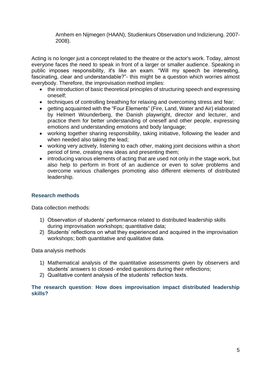Arnhem en Nijmegen (HAAN), Studienkurs Observation und Indizierung. 2007- 2008).

Acting is no longer just a concept related to the theatre or the actor's work. Today, almost everyone faces the need to speak in front of a larger or smaller audience. Speaking in public imposes responsibility, it's like an exam. "Will my speech be interesting, fascinating, clear and understandable?"- this might be a question which worries almost everybody. Therefore, the improvisation method implies:

- the introduction of basic theoretical principles of structuring speech and expressing oneself;
- techniques of controlling breathing for relaxing and overcoming stress and fear;
- getting acquainted with the "Four Elements" (Fire, Land, Water and Air) elaborated by Helmert Wounderberg, the Danish playwright, director and lecturer, and practice them for better understanding of oneself and other people, expressing emotions and understanding emotions and body language;
- working together sharing responsibility, taking initiative, following the leader and when needed also taking the lead;
- working very actively, listening to each other, making joint decisions within a short period of time, creating new ideas and presenting them;
- introducing various elements of acting that are used not only in the stage work, but also help to perform in front of an audience or even to solve problems and overcome various challenges promoting also different elements of distributed leadership.

#### **Research methods**

Data collection methods:

- 1) Observation of students' performance related to distributed leadership skills during improvisation workshops; quantitative data;
- 2) Students' reflections on what they experienced and acquired in the improvisation workshops; both quantitative and qualitative data.

Data analysis methods

- 1) Mathematical analysis of the quantitative assessments given by observers and students' answers to closed- ended questions during their reflections;
- 2) Qualitative content analysis of the students' reflection texts.

#### **The research question**: **How does improvisation impact distributed leadership skills?**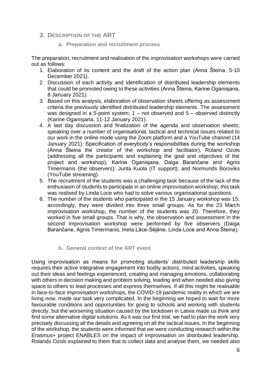- <span id="page-6-1"></span><span id="page-6-0"></span>**3. DESCRIPTION OF THE ART**
	- **a. Preparation and recruitment process**

The preparation, recruitment and realisation of the improvisation workshops were carried out as follows:

- 1. Elaboration of its content and the draft of the action plan (Anna Šteina, 5-10 December 2021).
- 2. Discussion of each activity and identification of distributed leadership elements that could be promoted owing to these activities (Anna Šteina, Karine Oganisjana, 8 January 2021).
- 3. Based on this analysis, elaboration of observation sheets offering as assessment criteria the previously identified distributed leadership elements. The assessment was designed in a 5-point system;  $1 - not observed$  and  $5 - observed$  distinctly (Karine Oganisjana, 11-12 January 2021).
- 4. A last day discussion and finalization of the agenda and observation sheets; speaking over a number of organisational, tactical and technical issues related to our work in the online mode using the Zoom platform and a YouTube channel (14 January 2021). Specification of everybody's responsibilities during the workshop (Anna Šteina the creator of the workshop and facilitator), Roland Ozols (addressing all the participants and explaining the goal and objectives of the project and workshop), Karine Oganisjana, Daiga Barančane and Agnis Timermanis (the observers); Jurita Kuola (IT support); and Normunds Boroviks (YouTube streaming).
- 5. The recruitment of the students was a challenging task because of the lack of the enthusiasm of students to participate in an online improvisation workshop; this task was realised by Linda Loce who had to solve various organisational questions.
- 6. The number of the students who participated in the 15 January workshop was 15; accordingly, they were divided into three small groups. As for the 23 March improvisation workshop, the number of the students was 20. Therefore, they worked in five small groups. That is why, the observation and assessment in the second improvisation workshop were performed by five observers (Daiga Barančane, Agnis Timermanis, Ineta Lāce-Sējāne, Linda Loce and Anna Šteina).

#### **b. General context of the ART event**

<span id="page-6-2"></span>Using improvisation as means for promoting students' distributed leadership skills requires their active integrative engagement into bodily actions, mind activities, speaking out their ideas and feelings experienced, creating and managing emotions, collaborating with others in decision making and problem solving, leading and when needed also giving space to others to lead processes and express themselves. If all this might be realisable in face-to-face improvisation workshops, the COVID-19 pandemic reality in which we are living now, made our task very complicated. In the beginning we hoped to wait for more favourable conditions and opportunities for going to schools and working with students directly, but the worsening situation caused by the lockdown in Latvia made us think and find some alternative digital solutions. As it was our first trial, we had to plan the work very precisely discussing all the details and agreeing on all the tactical issues. In the beginning of the workshop, the students were informed that we were conducting research within the Erasmus+ project ENABLES on the impact of improvisation on distributed leadership. Rolands Ozols explained to them that to collect data and analyse them, we needed also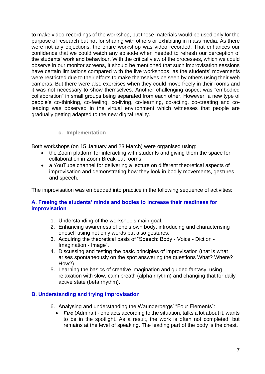to make video-recordings of the workshop, but these materials would be used only for the purpose of research but not for sharing with others or exhibiting in mass media. As there were not any objections, the entire workshop was video recorded. That enhances our confidence that we could watch any episode when needed to refresh our perception of the students' work and behaviour. With the critical view of the processes, which we could observe in our monitor screens, it should be mentioned that such improvisation sessions have certain limitations compared with the live workshops, as the students' movements were restricted due to their efforts to make themselves be seen by others using their web cameras. But there were also exercises when they could move freely in their rooms and it was not necessary to show themselves. Another challenging aspect was "embodied collaboration" in small groups being separated from each other. However, a new type of people's co-thinking, co-feeling, co-living, co-learning, co-acting, co-creating and coleading was observed in the virtual environment which witnesses that people are gradually getting adapted to the new digital reality.

#### **c. Implementation**

<span id="page-7-0"></span>Both workshops (on 15 January and 23 March) were organised using:

- the Zoom platform for interacting with students and giving them the space for collaboration in Zoom Break-out rooms;
- a YouTube channel for delivering a lecture on different theoretical aspects of improvisation and demonstrating how they look in bodily movements, gestures and speech.

The improvisation was embedded into practice in the following sequence of activities:

#### **A. Freeing the students' minds and bodies to increase their readiness for improvisation**

- 1. Understanding of the workshop's main goal.
- 2. Enhancing awareness of one's own body, introducing and characterising oneself using not only words but also gestures.
- 3. Acquiring the theoretical basis of "Speech: Body Voice Diction Imagination - Image".
- 4. Discussing and testing the basic principles of improvisation (that is what arises spontaneously on the spot answering the questions What? Where? How?)
- 5. Learning the basics of creative imagination and guided fantasy, using relaxation with slow, calm breath (alpha rhythm) and changing that for daily active state (beta rhythm).

#### **B. Understanding and trying improvisation**

- 6. Analysing and understanding the Waunderbergs' "Four Elements":
	- Fire (Admiral) one acts according to the situation, talks a lot about it, wants to be in the spotlight. As a result, the work is often not completed, but remains at the level of speaking. The leading part of the body is the chest.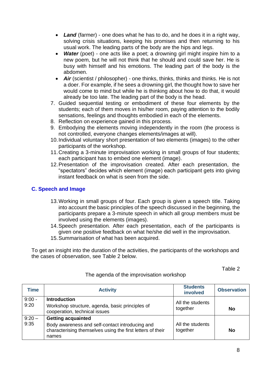- *Land* (farmer) one does what he has to do, and he does it in a right way, solving crisis situations, keeping his promises and then returning to his usual work. The leading parts of the body are the hips and legs.
- **Water** (poet) one acts like a poet; a drowning girl might inspire him to a new poem, but he will not think that he should and could save her. He is busy with himself and his emotions. The leading part of the body is the abdomen.
- **Air** (scientist / philosopher) one thinks, thinks, thinks and thinks. He is not a doer. For example, if he sees a drowning girl, the thought how to save her would come to mind but while he is thinking about how to do that, it would already be too late. The leading part of the body is the head.
- 7. Guided sequential testing or embodiment of these four elements by the students; each of them moves in his/her room, paying attention to the bodily sensations, feelings and thoughts embodied in each of the elements.
- 8. Reflection on experience gained in this process.
- 9. Embodying the elements moving independently in the room (the process is not controlled, everyone changes elements/images at will).
- 10.Individual voluntary short presentation of two elements (images) to the other participants of the workshop.
- 11.Creating a 3-minute improvisation working in small groups of four students; each participant has to embed one element (image).
- 12.Presentation of the improvisation created. After each presentation, the "spectators" decides which element (image) each participant gets into giving instant feedback on what is seen from the side.

# **C. Speech and Image**

- 13.Working in small groups of four. Each group is given a speech title. Taking into account the basic principles of the speech discussed in the beginning, the participants prepare a 3-minute speech in which all group members must be involved using the elements (images).
- 14.Speech presentation. After each presentation, each of the participants is given one positive feedback on what he/she did well in the improvisation. 15.Summarisation of what has been acquired.
- To get an insight into the duration of the activities, the participants of the workshops and the cases of observation, see Table 2 below.

Table 2

| Time             | <b>Activity</b>                                                                                                                                     | <b>Students</b><br>involved  | <b>Observation</b> |
|------------------|-----------------------------------------------------------------------------------------------------------------------------------------------------|------------------------------|--------------------|
| $9:00 -$<br>9:20 | <b>Introduction</b><br>Workshop structure, agenda, basic principles of<br>cooperation, technical issues                                             | All the students<br>together | No                 |
| $9:20 -$<br>9:35 | <b>Getting acquainted</b><br>Body awareness and self-contact introducing and<br>characterising themselves using the first letters of their<br>names | All the students<br>together | <b>No</b>          |

The agenda of the improvisation workshop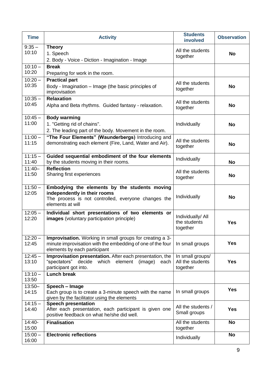| <b>Time</b>        | <b>Activity</b>                                                                                                                                          | <b>Students</b><br>involved                      | <b>Observation</b> |
|--------------------|----------------------------------------------------------------------------------------------------------------------------------------------------------|--------------------------------------------------|--------------------|
| $9:35 -$           | <b>Theory</b>                                                                                                                                            | All the students                                 |                    |
| 10:10              | 1. Speech                                                                                                                                                | together                                         | <b>No</b>          |
|                    | 2. Body - Voice - Diction - Imagination - Image                                                                                                          |                                                  |                    |
| $10:10 -$          | <b>Break</b>                                                                                                                                             |                                                  |                    |
| 10:20              | Preparing for work in the room.                                                                                                                          |                                                  |                    |
| $10:20 -$<br>10:35 | <b>Practical part</b><br>Body - Imagination - Image (the basic principles of<br>improvisation                                                            | All the students<br>together                     | <b>No</b>          |
| $10:35 -$          | <b>Relaxation</b>                                                                                                                                        |                                                  |                    |
| 10:45              | Alpha and Beta rhythms. Guided fantasy - relaxation.                                                                                                     | All the students<br>together                     | <b>No</b>          |
| $10:45 -$          | <b>Body warming</b>                                                                                                                                      |                                                  |                    |
| 11:00              | 1. "Getting rid of chains".<br>2. The leading part of the body. Movement in the room.                                                                    | Individually                                     | <b>No</b>          |
| $11:00 -$<br>11:15 | "The Four Elements" (Waunderbergs) Introducing and<br>demonstrating each element (Fire, Land, Water and Air).                                            | All the students<br>together                     | <b>No</b>          |
| $11:15 -$<br>11:40 | Guided sequential embodiment of the four elements<br>by the students moving in their rooms.                                                              | Individually                                     | <b>No</b>          |
| $11:40-$<br>11:50  | <b>Reflection</b><br>Sharing first experiences                                                                                                           | All the students<br>together                     | <b>No</b>          |
| $11:50 -$<br>12:05 | Embodying the elements by the students moving<br>independently in their rooms<br>The process is not controlled, everyone changes the<br>elements at will | Individually                                     | <b>No</b>          |
| $12:05 -$<br>12:20 | Individual short presentations of two elements or<br><b>images</b> (voluntary participation principle)                                                   | Individually/ All<br>the students<br>together    | <b>Yes</b>         |
| $12:20 -$<br>12:45 | Improvisation. Working in small groups for creating a 3-<br>minute improvisation with the embedding of one of the four<br>elements by each participant   | In small groups                                  | <b>Yes</b>         |
| $12:45 -$<br>13:10 | Improvisation presentation. After each presentation, the<br>"spectators"<br>decide which element<br>(image)<br>each<br>participant got into.             | In small groups/<br>All the students<br>together | <b>Yes</b>         |
| $13:10 -$<br>13:50 | <b>Lunch break</b>                                                                                                                                       |                                                  |                    |
| $13:50 -$<br>14:15 | Speech - Image<br>Each group is to create a 3-minute speech with the name<br>given by the facilitator using the elements                                 | In small groups                                  | <b>Yes</b>         |
| $14:15 -$<br>14:40 | <b>Speech presentation</b><br>After each presentation, each participant is given one<br>positive feedback on what he/she did well.                       | All the students /<br>Small groups               | <b>Yes</b>         |
| $14:40-$<br>15:00  | <b>Finalisation</b>                                                                                                                                      | All the students<br>together                     | <b>No</b>          |
| $15:00 -$<br>16:00 | <b>Electronic reflections</b>                                                                                                                            | Individually                                     | <b>No</b>          |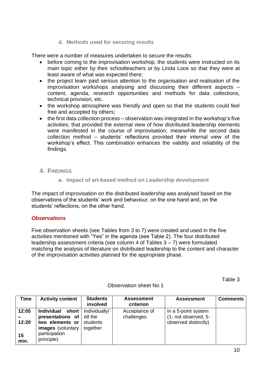#### **d. Methods used for securing results**

<span id="page-10-0"></span>There were a number of measures undertaken to secure the results:

- before coming to the improvisation workshop, the students were instructed on its main topic either by their schoolteachers or by Linda Loce so that they were at least aware of what was expected there;
- the project team paid serious attention to the organisation and realisation of the improvisation workshops analysing and discussing their different aspects – content, agenda, research opportunities and methods for data collections, technical provision, etc.
- the workshop atmosphere was friendly and open so that the students could feel free and accepted by others;
- the first data collection process observation was integrated in the workshop's five activities; that provided the external view of how distributed leadership elements were manifested in the course of improvisation; meanwhile the second data collection method – students' reflections provided their internal view of the workshop's effect. This combination enhances the validity and reliability of the findings.
- <span id="page-10-2"></span><span id="page-10-1"></span>**4. FINDINGS**

#### **a. Impact of art-based method on Leadership development**

The impact of improvisation on the distributed leadership was analysed based on the observations of the students' work and behaviour, on the one hand and, on the students' reflections, on the other hand.

#### *Observations*

Five observation sheets (see Tables from 3 to 7) were created and used in the five activities mentioned with "Yes" in the agenda (see Table 2). The four distributed leadership assessment criteria (see column 4 of Tables 3 – 7) were formulated matching the analysis of literature on distributed leadership to the content and character of the improvisation activities planned for the appropriate phase.

Table 3

| <b>Time</b> | <b>Activity content</b>     | <b>Students</b><br>involved | <b>Assessment</b><br>criterion | <b>Assessment</b>    | <b>Comments</b> |
|-------------|-----------------------------|-----------------------------|--------------------------------|----------------------|-----------------|
| 12:05       | Individual<br>short         | Individually/               | Acceptance of                  | In a 5-point system  |                 |
|             | presentations of $ $        | All the                     | challenges                     | (1- not observed, 5- |                 |
| 12:20       | two elements or             | students                    |                                | observed distinctly) |                 |
|             | <b>images</b> (voluntary    | together                    |                                |                      |                 |
| 15<br>min.  | participation<br>principle) |                             |                                |                      |                 |

#### Observation sheet No 1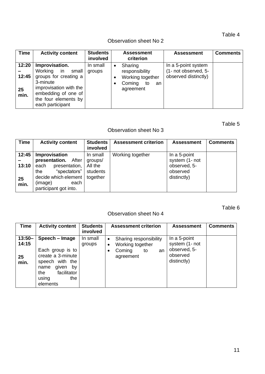Table 4

# Observation sheet No 2

| <b>Time</b>                  | <b>Activity content</b>                                                                                                                                                 | <b>Students</b><br>involved |           | <b>Assessment</b><br>criterion                                                   | <b>Assessment</b>                                                   | <b>Comments</b> |
|------------------------------|-------------------------------------------------------------------------------------------------------------------------------------------------------------------------|-----------------------------|-----------|----------------------------------------------------------------------------------|---------------------------------------------------------------------|-----------------|
| 12:20<br>12:45<br>25<br>min. | Improvisation.<br>Working in<br>small<br>groups for creating a<br>3-minute<br>improvisation with the<br>embedding of one of<br>the four elements by<br>each participant | In small<br>groups          | $\bullet$ | Sharing<br>responsibility<br>Working together<br>Coming<br>to<br>an<br>agreement | In a 5-point system<br>(1- not observed, 5-<br>observed distinctly) |                 |

# Table 5

# Observation sheet No 3

| <b>Time</b>                  | <b>Activity content</b>                                                                                                                                             | <b>Students</b><br>involved                | <b>Assessment criterion</b> | <b>Assessment</b>                                                         | <b>Comments</b> |
|------------------------------|---------------------------------------------------------------------------------------------------------------------------------------------------------------------|--------------------------------------------|-----------------------------|---------------------------------------------------------------------------|-----------------|
| 12:45<br>13:10<br>25<br>min. | Improvisation<br>presentation. After<br>presentation,<br>each<br>"spectators"<br>the<br>decide which element   together<br>(image)<br>each<br>participant got into. | In small<br>groups/<br>All the<br>students | Working together            | In a 5-point<br>system (1- not<br>observed, 5-<br>observed<br>distinctly) |                 |

# Table 6

# Observation sheet No 4

| Time                             | <b>Activity content</b>                                                                                                                             | <b>Students</b><br>involved | <b>Assessment criterion</b>                                                                             | <b>Assessment</b>                                                         | <b>Comments</b> |
|----------------------------------|-----------------------------------------------------------------------------------------------------------------------------------------------------|-----------------------------|---------------------------------------------------------------------------------------------------------|---------------------------------------------------------------------------|-----------------|
| $13:50 -$<br>14:15<br>25<br>min. | Speech - Image<br>Each group is to<br>create a 3-minute<br>speech with the<br>given<br>by<br>name<br>facilitator<br>the<br>the<br>using<br>elements | In small<br>groups          | Sharing responsibility<br>$\bullet$<br>Working together<br>$\bullet$<br>Coming<br>to<br>an<br>agreement | In a 5-point<br>system (1- not<br>observed, 5-<br>observed<br>distinctly) |                 |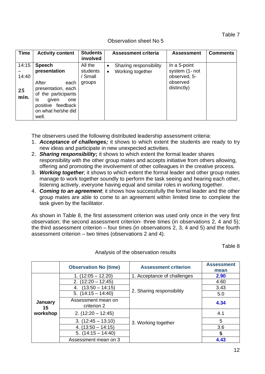Table 7

| <b>Time</b> | <b>Activity content</b>                                                                                                               | <b>Students</b><br>involved | Assessment criteria                 | <b>Assessment</b>       | <b>Comments</b> |
|-------------|---------------------------------------------------------------------------------------------------------------------------------------|-----------------------------|-------------------------------------|-------------------------|-----------------|
| 14:15       | <b>Speech</b>                                                                                                                         | All the                     | Sharing responsibility<br>$\bullet$ | In a 5-point            |                 |
|             | presentation                                                                                                                          | students                    | Working together<br>$\bullet$       | system (1- not          |                 |
| 14:40       |                                                                                                                                       | ' Small                     |                                     | observed, 5-            |                 |
| 25<br>min.  | After<br>each<br>presentation, each<br>of the participants<br>İS.<br>given<br>one<br>positive feedback<br>on what he/she did<br>well. | groups                      |                                     | observed<br>distinctly) |                 |

The observers used the following distributed leadership assessment criteria:

- 1. *Acceptance of challenges;* it shows to which extent the students are ready to try new ideas and participate in new unexpected activities.
- 2. *Sharing responsibility;* it shows to which extent the formal leader shares responsibility with the other group mates and accepts initiative from others allowing, offering and promoting the involvement of other colleagues in the creative process.
- 3. *Working together*; it shows to which extent the formal leader and other group mates manage to work together soundly to perform the task seeing and hearing each other, listening actively, everyone having equal and similar roles in working together.
- 4. *Coming to an agreement*; it shows how successfully the formal leader and the other group mates are able to come to an agreement within limited time to complete the task given by the facilitator.

As shown in Table 8, the first assessment criterion was used only once in the very first observation; the second assessment criterion- three times (in observations 2, 4 and 5); the third assessment criterion – four times (in observations 2, 3, 4 and 5) and the fourth assessment criterion – two times (observations 2 and 4).

Table 8

|               | <b>Observation No (time)</b>      | <b>Assessment criterion</b> | <b>Assessment</b><br>mean |
|---------------|-----------------------------------|-----------------------------|---------------------------|
|               | $1. (12:05 - 12.20)$              | 1. Acceptance of challenges | 2.90                      |
|               | $(12:20 - 12:45)$<br>2.           |                             | 4.60                      |
|               | $(13:50 - 14:15)$<br>4.           |                             | 3.43                      |
|               | 5. $(14:15 - 14:40)$              | 2. Sharing responsibility   | 5.0                       |
| January<br>15 | Assessment mean on<br>criterion 2 |                             | 4.34                      |
| workshop      | $2. (12:20 - 12:45)$              |                             | 4.1                       |
|               | $3. (12:45 - 13:10)$              | 3. Working together         | 5                         |
|               | $4. (13:50 - 14:15)$              |                             | 3.6                       |
|               | 5. $(14:15 - 14:40)$              |                             | 5                         |
|               | Assessment mean on 3              |                             | 4.43                      |

Analysis of the observation results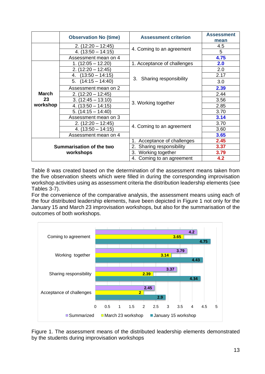|                                       | <b>Observation No (time)</b> | <b>Assessment criterion</b>    | <b>Assessment</b><br>mean |
|---------------------------------------|------------------------------|--------------------------------|---------------------------|
|                                       | $2. (12:20 - 12:45)$         |                                | 4.5                       |
|                                       | $4. (13:50 - 14:15)$         | 4. Coming to an agreement      | 5                         |
|                                       | Assessment mean on 4         |                                | 4.75                      |
|                                       | $1. (12:05 - 12.20)$         | 1. Acceptance of challenges    | 2.0                       |
| <b>March</b>                          | $2. (12:20 - 12:45)$         |                                | 2.0                       |
|                                       | $(13:50 - 14:15)$<br>4.      |                                | 2.17                      |
|                                       | $(14:15 - 14:40)$<br>5.      | 3. Sharing responsibility      | 3.0                       |
|                                       | Assessment mean on 2         |                                | 2.39                      |
|                                       | $2. (12:20 - 12:45)$         |                                | 2.44                      |
| 23                                    | $3. (12:45 - 13:10)$         |                                | 3.56                      |
| workshop                              | $4. (13:50 - 14:15)$         | 3. Working together            | 2.85                      |
|                                       | $5. (14:15 - 14:40)$         |                                | 3.70                      |
|                                       | Assessment mean on 3         |                                | 3.14                      |
|                                       | $2. (12:20 - 12:45)$         |                                | 3.70                      |
|                                       | $4. (13:50 - 14:15)$         | 4. Coming to an agreement      | 3.60                      |
|                                       | Assessment mean on 4         |                                | 3.65                      |
|                                       |                              | Acceptance of challenges<br>1. | 2.45                      |
| Summarisation of the two<br>workshops |                              | Sharing responsibility<br>2.   | 3.37                      |
|                                       |                              | 3. Working together            | 3.79                      |
|                                       |                              | Coming to an agreement<br>4.   | 4.2                       |

Table 8 was created based on the determination of the assessment means taken from the five observation sheets which were filled in during the corresponding improvisation workshop activities using as assessment criteria the distribution leadership elements (see Tables 3-7).

For the convenience of the comparative analysis, the assessment means using each of the four distributed leadership elements, have been depicted in Figure 1 not only for the January 15 and March 23 improvisation workshops, but also for the summarisation of the outcomes of both workshops.



Figure 1. The assessment means of the distributed leadership elements demonstrated by the students during improvisation workshops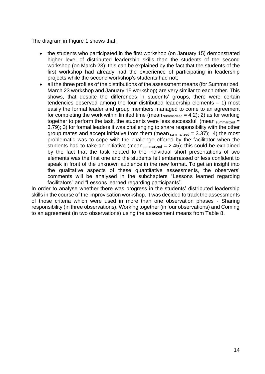The diagram in Figure 1 shows that:

- the students who participated in the first workshop (on January 15) demonstrated higher level of distributed leadership skills than the students of the second workshop (on March 23); this can be explained by the fact that the students of the first workshop had already had the experience of participating in leadership projects while the second workshop's students had not;
- all the three profiles of the distributions of the assessment means (for Summarized, March 23 workshop and January 15 workshop) are very similar to each other. This shows, that despite the differences in students' groups, there were certain tendencies observed among the four distributed leadership elements – 1) most easily the formal leader and group members managed to come to an agreement for completing the work within limited time (mean  $summarized = 4.2$ ); 2) as for working together to perform the task, the students were less successful (mean  $\text{summarized} =$ 3.79); 3) for formal leaders it was challenging to share responsibility with the other group mates and accept initiative from them (mean summarized  $= 3.37$ ); 4) the most problematic was to cope with the challenge offered by the facilitator when the students had to take an initiative (mean summarized  $= 2.45$ ); this could be explained by the fact that the task related to the individual short presentations of two elements was the first one and the students felt embarrassed or less confident to speak in front of the unknown audience in the new format. To get an insight into the qualitative aspects of these quantitative assessments, the observers' comments will be analysed in the subchapters "Lessons learned regarding facilitators" and "Lessons learned regarding participants".

In order to analyse whether there was progress in the students' distributed leadership skills in the course of the improvisation workshop, it was decided to track the assessments of those criteria which were used in more than one observation phases - Sharing responsibility (in three observations), Working together (in four observations) and Coming to an agreement (in two observations) using the assessment means from Table 8.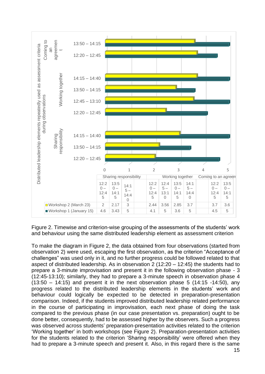

Figure 2. Timewise and criterion-wise grouping of the assessments of the students' work and behaviour using the same distributed leadership element as assessment criterion

To make the diagram in Figure 2, the data obtained from four observations (started from observation 2) were used, escaping the first observation, as the criterion "Acceptance of challenges" was used only in it, and no further progress could be followed related to that aspect of distributed leadership. As in observation 2 (12:20 – 12:45) the students had to prepare a 3-minute improvisation and present it in the following observation phase - 3 (12:45-13:10); similarly, they had to prepare a 3-minute speech in observation phase 4  $(13:50 - 14:15)$  and present it in the next observation phase 5  $(14:15 - 14:50)$ , any progress related to the distributed leadership elements in the students' work and behaviour could logically be expected to be detected in preparation-presentation comparison. Indeed, if the students improved distributed leadership related performance in the course of participating in improvisation, each next phase of doing the task compared to the previous phase (in our case presentation vs. preparation) ought to be done better, consequently, had to be assessed higher by the observers. Such a progress was observed across students' preparation-presentation activities related to the criterion 'Working together' in both workshops (see Figure 2). Preparation-presentation activities for the students related to the criterion 'Sharing responsibility' were offered when they had to prepare a 3-minute speech and present it. Also, in this regard there is the same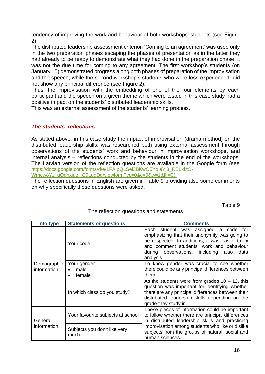tendency of improving the work and behaviour of both workshops' students (see Figure 2).

The distributed leadership assessment criterion 'Coming to an agreement' was used only in the two preparation phases escaping the phases of presentation as in the latter they had already to be ready to demonstrate what they had done in the preparation phase: it was not the due time for coming to any agreement. The first workshop's students (on January 15) demonstrated progress along both phases of preparation of the improvisation and the speech, while the second workshop's students who were less experienced, did not show any principal difference (see Figure 2).

Thus, the improvisation with the embedding of one of the four elements by each participant and the speech on a given theme which were tested in this case study had a positive impact on the students' distributed leadership skills.

This was an external assessment of the students' learning process.

#### *The students' reflections*

As stated above, in this case study the impact of improvisation (drama method) on the distributed leadership skills, was researched both using external assessment through observations of the students' work and behaviour in improvisation workshops, and internal analysis – reflections conducted by the students in the end of the workshops. The Latvian version of the reflection questions are available in the Google form (see [https://docs.google.com/forms/d/e/1FAIpQLSei3BKwO5YqleYj3\\_RBLxktC-](https://docs.google.com/forms/d/e/1FAIpQLSei3BKwO5YqleYj3_RBLxktC-Wmcw8Yz_qOghxjueHG9LuqDg/viewform?vc=0&c=0&w=1&flr=0)

[Wmcw8Yz\\_qOghxjueHG9LuqDg/viewform?vc=0&c=0&w=1&flr=0\)](https://docs.google.com/forms/d/e/1FAIpQLSei3BKwO5YqleYj3_RBLxktC-Wmcw8Yz_qOghxjueHG9LuqDg/viewform?vc=0&c=0&w=1&flr=0).

The reflection questions in English are given in Table 9 providing also some comments on why specifically these questions were asked.

Table 9

| Info type              | <b>Statements or questions</b>       | <b>Comments</b>                                                                                                                                                                                                                                                                  |  |  |
|------------------------|--------------------------------------|----------------------------------------------------------------------------------------------------------------------------------------------------------------------------------------------------------------------------------------------------------------------------------|--|--|
|                        | Your code                            | Each student was assigned a code for<br>emphasizing that their anonymity was going to<br>be respected. In additions, it was easier to fix<br>and comment students' work and behaviour<br>during observations, including also<br>data<br>analysis.                                |  |  |
| Demographic            | Your gender                          | To know gender was crucial to see whether                                                                                                                                                                                                                                        |  |  |
| information            | male                                 | there could be any principal differences between                                                                                                                                                                                                                                 |  |  |
|                        | female                               | them.                                                                                                                                                                                                                                                                            |  |  |
|                        | In which class do you study?         | As the students were from grades $10 - 12$ , this<br>question was important for identifying whether<br>there are any principal differences between their<br>distributed leadership skills depending on the<br>grade they study in.                                               |  |  |
| General<br>information | Your favourite subjects at school    | These pieces of information could be important<br>to follow whether there are principal differences<br>in distributed leadership skills and practicing<br>improvisation among students who like or dislike<br>subjects from the groups of natural, social and<br>human sciences. |  |  |
|                        | Subjects you don't like very<br>much |                                                                                                                                                                                                                                                                                  |  |  |

#### The reflection questions and statements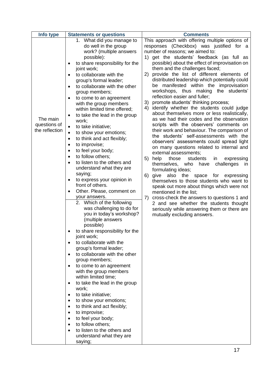| Info type                                  | <b>Statements or questions</b>                                                                                                                                                                                                                                                                                                                                                                                                                                                                                                                                                                                                                                                                                                                                                                                                                                                                                                                                                                                                                                                                                                                                                                                                                                                                                                                                                                                                                      | <b>Comments</b>                                                                                                                                                                                                                                                                                                                                                                                                                                                                                                                                                                                                                                                                                                                                                                                                                                                                                                                                                                                                                                                                                                                                                                                                                                                                                                                                                                                                      |
|--------------------------------------------|-----------------------------------------------------------------------------------------------------------------------------------------------------------------------------------------------------------------------------------------------------------------------------------------------------------------------------------------------------------------------------------------------------------------------------------------------------------------------------------------------------------------------------------------------------------------------------------------------------------------------------------------------------------------------------------------------------------------------------------------------------------------------------------------------------------------------------------------------------------------------------------------------------------------------------------------------------------------------------------------------------------------------------------------------------------------------------------------------------------------------------------------------------------------------------------------------------------------------------------------------------------------------------------------------------------------------------------------------------------------------------------------------------------------------------------------------------|----------------------------------------------------------------------------------------------------------------------------------------------------------------------------------------------------------------------------------------------------------------------------------------------------------------------------------------------------------------------------------------------------------------------------------------------------------------------------------------------------------------------------------------------------------------------------------------------------------------------------------------------------------------------------------------------------------------------------------------------------------------------------------------------------------------------------------------------------------------------------------------------------------------------------------------------------------------------------------------------------------------------------------------------------------------------------------------------------------------------------------------------------------------------------------------------------------------------------------------------------------------------------------------------------------------------------------------------------------------------------------------------------------------------|
| The main<br>questions of<br>the reflection | 1. What did you manage to<br>do well in the group<br>work? (multiple answers<br>possible):<br>to share responsibility for the<br>joint work;<br>to collaborate with the<br>group's formal leader;<br>to collaborate with the other<br>group members;<br>to come to an agreement<br>with the group members<br>within limited time offered;<br>to take the lead in the group<br>$\bullet$<br>work;<br>to take initiative;<br>$\bullet$<br>to show your emotions;<br>$\bullet$<br>to think and act flexibly;<br>$\bullet$<br>to improvise;<br>$\bullet$<br>to feel your body;<br>to follow others;<br>to listen to the others and<br>understand what they are<br>saying;<br>to express your opinion in<br>front of others.<br>Other. Please, comment on<br>your answers.<br>2. Which of the following<br>was challenging to do for<br>you in today's workshop?<br>(multiple answers<br>possible)<br>to share responsibility for the<br>joint work;<br>to collaborate with the<br>$\bullet$<br>group's formal leader;<br>to collaborate with the other<br>group members;<br>to come to an agreement<br>with the group members<br>within limited time;<br>to take the lead in the group<br>work;<br>to take initiative;<br>to show your emotions;<br>$\bullet$<br>to think and act flexibly;<br>$\bullet$<br>to improvise;<br>$\bullet$<br>to feel your body;<br>to follow others;<br>to listen to the others and<br>understand what they are<br>saying; | This approach with offering multiple options of<br>responses (Checkbox) was justified for a<br>number of reasons; we aimed to:<br>1) get the students' feedback (as full as<br>possible) about the effect of improvisation on<br>them and the challenges faced;<br>provide the list of different elements of<br>2)<br>distributed leadership which potentially could<br>manifested within the improvisation<br>be<br>workshops, thus making the students'<br>reflection easier and fuller;<br>3) promote students' thinking process;<br>4) identify whether the students could judge<br>about themselves more or less realistically,<br>as we had their codes and the observation<br>scripts with the observers' comments on<br>their work and behaviour. The comparison of<br>the students' self-assessments with the<br>observers' assessments could spread light<br>on many questions related to internal and<br>external assessments;<br>5) help<br>those<br>students<br>in<br>expressing<br>themselves, who have<br>challenges<br>in<br>formulating ideas;<br>6)<br>give<br>also<br>the<br>space for expressing<br>themselves to those students who want to<br>speak out more about things which were not<br>mentioned in the list;<br>cross-check the answers to questions 1 and<br>7)<br>2 and see whether the students thought<br>seriously while answering them or there are<br>mutually excluding answers. |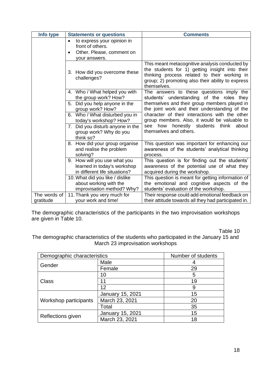| Info type                 | <b>Statements or questions</b>                                                                                         | <b>Comments</b>                                                                                                                                                                                                      |
|---------------------------|------------------------------------------------------------------------------------------------------------------------|----------------------------------------------------------------------------------------------------------------------------------------------------------------------------------------------------------------------|
|                           | to express your opinion in<br>$\bullet$<br>front of others.<br>Other. Please, comment on<br>$\bullet$<br>your answers. |                                                                                                                                                                                                                      |
|                           | 3. How did you overcome these<br>challenges?                                                                           | This meant metacognitive analysis conducted by<br>the students for 1) getting insight into their<br>thinking process related to their working in<br>group; 2) promoting also their ability to express<br>themselves. |
|                           | 4. Who / What helped you with<br>the group work? How?                                                                  | The answers to these questions imply the<br>students' understanding of the roles they                                                                                                                                |
|                           | 5. Did you help anyone in the<br>group work? How?                                                                      | themselves and their group members played in<br>the joint work and their understanding of the                                                                                                                        |
|                           | 6. Who / What disturbed you in<br>today's workshop? How?                                                               | character of their interactions with the other<br>group members. Also, it would be valuable to                                                                                                                       |
|                           | 7. Did you disturb anyone in the<br>group work? Why do you<br>think so?                                                | how honestly students think<br>about<br>see<br>themselves and others.                                                                                                                                                |
|                           | How did your group organise<br>8.<br>and realise the problem<br>solving?                                               | This question was important for enhancing our<br>awareness of the students' analytical thinking<br>process.                                                                                                          |
|                           | 9. How will you use what you<br>learned in today's workshop<br>in different life situations?                           | This question is for finding out the students'<br>awareness of the potential use of what they<br>acquired during the workshop.                                                                                       |
|                           | 10. What did you like / dislike<br>about working with the<br>improvisation method? Why?                                | This question is meant for getting information of<br>the emotional and cognitive aspects of the<br>students' evaluation of the workshop.                                                                             |
| The words of<br>gratitude | 11. Thank you very much for<br>your work and time!                                                                     | Their response could add emotional feedback on<br>their attitude towards all they had participated in.                                                                                                               |

The demographic characteristics of the participants in the two improvisation workshops are given in Table 10.

Table 10

The demographic characteristics of the students who participated in the January 15 and March 23 improvisation workshops

| Demographic characteristics | Number of students      |    |
|-----------------------------|-------------------------|----|
| Gender                      | Male                    |    |
|                             | Female                  | 29 |
|                             | 10                      | 5  |
| Class                       | 11                      | 19 |
|                             | 12                      | 9  |
|                             | <b>January 15, 2021</b> | 15 |
| Workshop participants       | March 23, 2021          | 20 |
|                             | Total                   | 35 |
|                             | January 15, 2021        | 15 |
| Reflections given           | March 23, 2021          | 18 |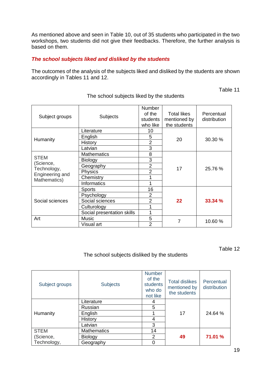As mentioned above and seen in Table 10, out of 35 students who participated in the two workshops, two students did not give their feedbacks. Therefore, the further analysis is based on them.

#### *The school subjects liked and disliked by the students*

The outcomes of the analysis of the subjects liked and disliked by the students are shown accordingly in Tables 11 and 12.

Table 11

| Subject groups                 | <b>Subjects</b>                   | <b>Number</b><br>of the<br>students<br>who like | <b>Total likes</b><br>mentioned by<br>the students | Percentual<br>distribution |  |
|--------------------------------|-----------------------------------|-------------------------------------------------|----------------------------------------------------|----------------------------|--|
|                                | Literature                        | 10                                              |                                                    |                            |  |
| Humanity                       | English                           | 5                                               | 20                                                 | 30.30 %                    |  |
|                                | History                           | $\overline{2}$                                  |                                                    |                            |  |
|                                | Latvian                           | 3                                               |                                                    |                            |  |
|                                | <b>Mathematics</b>                | 8                                               |                                                    |                            |  |
| <b>STEM</b>                    | <b>Biology</b>                    | 3                                               |                                                    |                            |  |
| (Science,                      | $\overline{2}$<br>Geography<br>17 |                                                 |                                                    | 25.76 %                    |  |
| Technology,<br>Engineering and | <b>Physics</b>                    | $\overline{2}$                                  |                                                    |                            |  |
| Mathematics)                   | Chemistry                         | 1                                               |                                                    |                            |  |
|                                | <b>Informatics</b>                | 1                                               |                                                    |                            |  |
|                                | <b>Sports</b>                     | 16                                              |                                                    |                            |  |
|                                | Psychology                        | $\overline{2}$                                  |                                                    |                            |  |
| Social sciences                | Social sciences                   | $\overline{2}$                                  | 22                                                 | 33.34 %                    |  |
|                                | Culturology                       | 1                                               |                                                    |                            |  |
|                                | Social presentation skills        | 1                                               |                                                    |                            |  |
| Art                            | Music                             | 5                                               |                                                    |                            |  |
|                                | Visual art                        | 7<br>$\overline{2}$                             |                                                    | 10.60%                     |  |

The school subjects liked by the students

Table 12

#### The school subjects disliked by the students

| Subject groups | <b>Subjects</b>    | <b>Number</b><br>of the<br>students<br>who do<br>not like | <b>Total dislikes</b><br>mentioned by<br>the students | Percentual<br>distribution |
|----------------|--------------------|-----------------------------------------------------------|-------------------------------------------------------|----------------------------|
|                | Literature         | 4                                                         |                                                       |                            |
|                | Russian            | 5                                                         |                                                       |                            |
| Humanity       | English            |                                                           | 17                                                    | 24.64 %                    |
|                | History            | 4                                                         |                                                       |                            |
|                | Latvian            | 3                                                         |                                                       |                            |
| <b>STEM</b>    | <b>Mathematics</b> | 14                                                        |                                                       |                            |
| (Science,      | <b>Biology</b>     | $\overline{2}$                                            | 49                                                    | 71.01 %                    |
| Technology,    | Geography          |                                                           |                                                       |                            |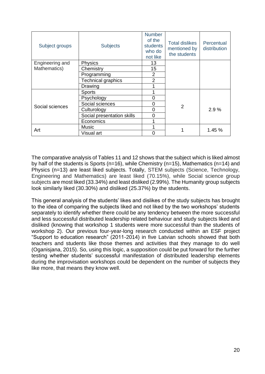| Subject groups  | <b>Subjects</b>            | <b>Number</b><br>of the<br>students<br>who do<br>not like | <b>Total dislikes</b><br>mentioned by<br>the students | Percentual<br>distribution |  |
|-----------------|----------------------------|-----------------------------------------------------------|-------------------------------------------------------|----------------------------|--|
| Engineering and | Physics                    | 13                                                        |                                                       |                            |  |
| Mathematics)    | Chemistry                  | 15                                                        |                                                       |                            |  |
|                 | Programming                | 2                                                         |                                                       |                            |  |
|                 | <b>Technical graphics</b>  | 2                                                         |                                                       |                            |  |
|                 | Drawing                    |                                                           |                                                       |                            |  |
|                 | <b>Sports</b>              |                                                           |                                                       |                            |  |
|                 | Psychology                 | $\overline{0}$                                            |                                                       |                            |  |
| Social sciences | Social sciences            | $\Omega$                                                  | 2                                                     |                            |  |
|                 | Culturology                | 0                                                         |                                                       | 2.9%                       |  |
|                 | Social presentation skills | 0                                                         |                                                       |                            |  |
|                 | Economics                  |                                                           |                                                       |                            |  |
|                 | Music                      |                                                           |                                                       |                            |  |
| Art             | Visual art                 | ∩                                                         |                                                       | 1.45 %                     |  |

The comparative analysis of Tables 11 and 12 shows that the subject which is liked almost by half of the students is Sports (n=16), while Chemistry (n=15), Mathematics (n=14) and Physics (n=13) are least liked subjects. Totally, STEM subjects (Science, Technology, Engineering and Mathematics) are least liked (70.15%), while Social science group subjects are most liked (33.34%) and least disliked (2.99%). The Humanity group subjects look similarly liked (30.30%) and disliked (25.37%) by the students.

This general analysis of the students' likes and dislikes of the study subjects has brought to the idea of comparing the subjects liked and not liked by the two workshops' students separately to identify whether there could be any tendency between the more successful and less successful distributed leadership related behaviour and study subjects liked and disliked (knowing that workshop 1 students were more successful than the students of workshop 2). Our previous four-year-long research conducted within an ESF project "Support to education research" (2011-2014) in five Latvian schools showed that both teachers and students like those themes and activities that they manage to do well (Oganisjana, 2015). So, using this logic, a supposition could be put forward for the further testing whether students' successful manifestation of distributed leadership elements during the improvisation workshops could be dependent on the number of subjects they like more, that means they know well.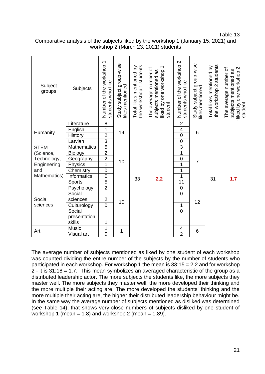Table 13

| Comparative analysis of the subjects liked by the workshop 1 (January 15, 2021) and |
|-------------------------------------------------------------------------------------|
| workshop 2 (March 23, 2021) students                                                |

| Subject<br>groups | Subjects               | Number of the workshop 1<br>students who like | Study subject group-wise<br>likes mentioned | students<br>Total likes mentioned by<br>the workshop 1 | liked by one workshop 1<br>The average number of<br>subjects mentioned as<br>student | Number of the workshop 2<br>students who like | Study subject group-wise<br>likes mentioned | the workshop 2 students<br>Total likes mentioned by | The average number of<br>liked by one workshop 2<br>subjects mentioned as<br>student |
|-------------------|------------------------|-----------------------------------------------|---------------------------------------------|--------------------------------------------------------|--------------------------------------------------------------------------------------|-----------------------------------------------|---------------------------------------------|-----------------------------------------------------|--------------------------------------------------------------------------------------|
|                   | Literature             | $\overline{8}$                                | 14                                          |                                                        |                                                                                      | $\overline{c}$                                |                                             |                                                     |                                                                                      |
| Humanity          | English                | $\mathbf{1}$                                  |                                             |                                                        |                                                                                      | $\overline{\mathbf{4}}$                       | 6                                           |                                                     |                                                                                      |
|                   | History                | $\overline{2}$                                |                                             |                                                        |                                                                                      | $\overline{0}$                                |                                             |                                                     |                                                                                      |
|                   | Latvian                | $\overline{3}$                                |                                             |                                                        |                                                                                      | $\mathbf 0$                                   |                                             |                                                     |                                                                                      |
| <b>STEM</b>       | <b>Mathematics</b>     | $\overline{5}$                                |                                             |                                                        |                                                                                      | $\overline{3}$                                |                                             |                                                     |                                                                                      |
| (Science,         | <b>Biology</b>         | $\overline{2}$                                |                                             |                                                        |                                                                                      | 1                                             |                                             |                                                     |                                                                                      |
| Technology,       | Geography              | $\overline{2}$                                | 10                                          |                                                        |                                                                                      | $\mathbf 0$                                   | $\overline{7}$                              |                                                     |                                                                                      |
| Engineering       | Physics                | $\overline{1}$                                |                                             |                                                        |                                                                                      | 1                                             |                                             |                                                     |                                                                                      |
| and               | Chemistry              | $\overline{0}$                                |                                             |                                                        |                                                                                      | 1                                             |                                             |                                                     |                                                                                      |
| Mathematics)      | Informatics            | $\mathsf{O}\xspace$                           |                                             | 33                                                     | 2.2                                                                                  | 1                                             |                                             | 31                                                  | 1.7                                                                                  |
|                   | Sports                 | $\overline{5}$                                |                                             |                                                        |                                                                                      | $\overline{11}$                               |                                             |                                                     |                                                                                      |
|                   | Psychology             | $\overline{2}$                                |                                             |                                                        |                                                                                      | $\mathbf 0$                                   |                                             |                                                     |                                                                                      |
|                   | Social                 |                                               |                                             |                                                        |                                                                                      | $\overline{0}$                                |                                             |                                                     |                                                                                      |
| Social            | sciences               | $\mathbf 2$                                   | 10                                          |                                                        |                                                                                      |                                               | 12                                          |                                                     |                                                                                      |
| sciences          | Culturology            | $\overline{0}$                                |                                             |                                                        |                                                                                      | 1                                             |                                             |                                                     |                                                                                      |
|                   | Social                 |                                               |                                             |                                                        |                                                                                      | $\overline{0}$                                |                                             |                                                     |                                                                                      |
|                   | presentation<br>skills | 1                                             |                                             |                                                        |                                                                                      |                                               |                                             |                                                     |                                                                                      |
|                   | Music                  | 1                                             |                                             |                                                        |                                                                                      | 4                                             |                                             |                                                     |                                                                                      |
| Art               | Visual art             | $\overline{0}$                                | 1                                           |                                                        |                                                                                      | $\overline{2}$                                | 6                                           |                                                     |                                                                                      |

The average number of subjects mentioned as liked by one student of each workshop was counted dividing the entire number of the subjects by the number of students who participated in each workshop. For workshop 1 the mean is 33:15 = 2.2 and for workshop 2 - it is 31:18 = 1.7. This mean symbolizes an averaged characteristic of the group as a distributed leadership actor. The more subjects the students like, the more subjects they master well. The more subjects they master well, the more developed their thinking and the more multiple their acting are. The more developed the students' thinking and the more multiple their acting are, the higher their distributed leadership behaviour might be. In the same way the average number of subjects mentioned as disliked was determined (see Table 14); that shows very close numbers of subjects disliked by one student of workshop 1 (mean = 1.8) and workshop 2 (mean = 1.89).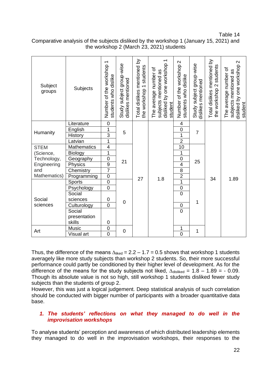Table 14

| Subject<br>groups | Subjects           | Number of the workshop 1<br>students who dislike | Study subject group-wise<br>dislikes mentioned | Total dislikes mentioned by<br>the workshop 1 students | $\overline{\phantom{0}}$<br>disliked by one workshop<br>The average number of<br>subjects mentioned as<br>student | $\mathbf{\Omega}$<br>Number of the workshop<br>students who dislike | Study subject group-wise<br>dislikes mentioned | Total dislikes mentioned by<br>students<br>the workshop 2 | disliked by one workshop 2<br>The average number of<br>subjects mentioned as<br>student |
|-------------------|--------------------|--------------------------------------------------|------------------------------------------------|--------------------------------------------------------|-------------------------------------------------------------------------------------------------------------------|---------------------------------------------------------------------|------------------------------------------------|-----------------------------------------------------------|-----------------------------------------------------------------------------------------|
|                   | Literature         | $\mathbf 0$                                      |                                                |                                                        |                                                                                                                   | 4                                                                   |                                                |                                                           |                                                                                         |
| Humanity          | English            | 1                                                | 5                                              |                                                        |                                                                                                                   | $\boldsymbol{0}$                                                    | $\overline{7}$                                 |                                                           |                                                                                         |
|                   | History            | $\overline{3}$                                   |                                                |                                                        |                                                                                                                   | $\overline{1}$                                                      |                                                |                                                           |                                                                                         |
|                   | Latvian            | 1                                                |                                                |                                                        |                                                                                                                   | $\overline{2}$                                                      |                                                |                                                           |                                                                                         |
| <b>STEM</b>       | <b>Mathematics</b> | $\overline{\mathbf{4}}$                          |                                                |                                                        |                                                                                                                   | 10                                                                  |                                                |                                                           |                                                                                         |
| (Science,         | <b>Biology</b>     | 1                                                | 21                                             |                                                        |                                                                                                                   | 1                                                                   |                                                |                                                           |                                                                                         |
| Technology,       | Geography          | $\overline{0}$                                   |                                                |                                                        |                                                                                                                   | $\mathbf 0$                                                         | 25                                             |                                                           |                                                                                         |
| Engineering       | Physics            | $\overline{9}$                                   |                                                |                                                        |                                                                                                                   | $\overline{\mathbf{4}}$                                             |                                                |                                                           |                                                                                         |
| and               | Chemistry          | $\overline{7}$                                   |                                                |                                                        |                                                                                                                   | 8                                                                   |                                                |                                                           |                                                                                         |
| Mathematics)      | Programming        | $\mathbf 0$                                      |                                                | 27                                                     | 1.8                                                                                                               | $\overline{2}$                                                      |                                                | 34                                                        | 1.89                                                                                    |
|                   | <b>Sports</b>      | $\overline{0}$                                   |                                                |                                                        |                                                                                                                   | $\overline{1}$                                                      |                                                |                                                           |                                                                                         |
|                   | Psychology         | $\overline{0}$                                   |                                                |                                                        |                                                                                                                   | $\mathbf 0$                                                         |                                                |                                                           |                                                                                         |
|                   | Social             |                                                  |                                                |                                                        |                                                                                                                   | $\overline{0}$                                                      |                                                |                                                           |                                                                                         |
| Social            | sciences           | 0                                                | $\mathbf 0$                                    |                                                        |                                                                                                                   |                                                                     | 1                                              |                                                           |                                                                                         |
| sciences          | Culturology        | $\overline{0}$                                   |                                                |                                                        |                                                                                                                   | $\mathbf 0$                                                         |                                                |                                                           |                                                                                         |
|                   | Social             |                                                  |                                                |                                                        |                                                                                                                   | $\overline{0}$                                                      |                                                |                                                           |                                                                                         |
|                   | presentation       |                                                  |                                                |                                                        |                                                                                                                   |                                                                     |                                                |                                                           |                                                                                         |
|                   | skills             | $\mathbf 0$                                      |                                                |                                                        |                                                                                                                   |                                                                     |                                                |                                                           |                                                                                         |
| Art               | Music              | $\mathbf 0$                                      | 0                                              |                                                        |                                                                                                                   | 1                                                                   | 1                                              |                                                           |                                                                                         |
|                   | Visual art         | $\overline{0}$                                   |                                                |                                                        |                                                                                                                   | $\overline{0}$                                                      |                                                |                                                           |                                                                                         |

Comparative analysis of the subjects disliked by the workshop 1 (January 15, 2021) and the workshop 2 (March 23, 2021) students

Thus, the difference of the means  $\Delta_{\text{liked}} = 2.2 - 1.7 = 0.5$  shows that workshop 1 students averagely like more study subjects than workshop 2 students. So, their more successful performance could partly be conditioned by their higher level of development. As for the difference of the means for the study subjects not liked,  $\Delta_{\text{diskled}} = 1.8 - 1.89 = -0.09$ . Though its absolute value is not so high, still workshop 1 students disliked fewer study subjects than the students of group 2.

However, this was just a logical judgement. Deep statistical analysis of such correlation should be conducted with bigger number of participants with a broader quantitative data base.

#### *1. The students' reflections on what they managed to do well in the improvisation workshops*

To analyse students' perception and awareness of which distributed leadership elements they managed to do well in the improvisation workshops, their responses to the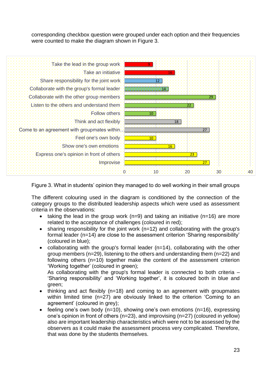corresponding checkbox question were grouped under each option and their frequencies were counted to make the diagram shown in Figure 3.



Figure 3. What in students' opinion they managed to do well working in their small groups

The different colouring used in the diagram is conditioned by the connection of the category groups to the distributed leadership aspects which were used as assessment criteria in the observations:

- taking the lead in the group work (n=9) and taking an initiative (n=16) are more related to the acceptance of challenges (coloured in red);
- sharing responsibility for the joint work (n=12) and collaborating with the group's formal leader (n=14) are close to the assessment criterion 'Sharing responsibility' (coloured in blue);
- collaborating with the group's formal leader (n=14), collaborating with the other group members (n=29), listening to the others and understanding them (n=22) and following others (n=10) together make the content of the assessment criterion 'Working together' (coloured in green);

As collaborating with the group's formal leader is connected to both criteria – 'Sharing responsibility' and 'Working together', it is coloured both in blue and green;

- thinking and act flexibly (n=18) and coming to an agreement with groupmates within limited time (n=27) are obviously linked to the criterion 'Coming to an agreement' (coloured in grey);
- feeling one's own body ( $n=10$ ), showing one's own emotions ( $n=16$ ), expressing one's opinion in front of others (n=23), and improvising (n=27) (coloured in yellow) also are important leadership characteristics which were not to be assessed by the observers as it could make the assessment process very complicated. Therefore, that was done by the students themselves.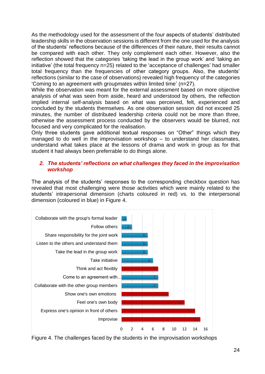As the methodology used for the assessment of the four aspects of students' distributed leadership skills in the observation sessions is different from the one used for the analysis of the students' reflections because of the differences of their nature, their results cannot be compared with each other. They only complement each other. However, also the reflection showed that the categories 'taking the lead in the group work' and 'taking an initiative' (the total frequency n=25) related to the 'acceptance of challenges' had smaller total frequency than the frequencies of other category groups. Also, the students' reflections (similar to the case of observations) revealed high frequency of the categories 'Coming to an agreement with groupmates within limited time' (n=27).

While the observation was meant for the external assessment based on more objective analysis of what was seen from aside, heard and understood by others, the reflection implied internal self-analysis based on what was perceived, felt, experienced and concluded by the students themselves. As one observation session did not exceed 25 minutes, the number of distributed leadership criteria could not be more than three, otherwise the assessment process conducted by the observers would be blurred, not focused and very complicated for the realisation.

Only three students gave additional textual responses on "Other" things which they managed to do well in the improvisation workshop – to understand her classmates, understand what takes place at the lessons of drama and work in group as for that student it had always been preferrable to do things alone.

#### *2. The students' reflections on what challenges they faced in the improvisation workshop*

The analysis of the students' responses to the corresponding checkbox question has revealed that most challenging were those activities which were mainly related to the students' intrapersonal dimension (charts coloured in red) vs. to the interpersonal dimension (coloured in blue) in Figure 4.



Figure 4. The challenges faced by the students in the improvisation workshops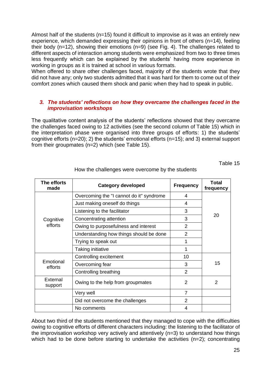Almost half of the students (n=15) found it difficult to improvise as it was an entirely new experience, which demanded expressing their opinions in front of others (n=14), feeling their body (n=12), showing their emotions (n=9) (see Fig. 4). The challenges related to different aspects of interaction among students were emphasized from two to three times less frequently which can be explained by the students' having more experience in working in groups as it is trained at school in various formats.

When offered to share other challenges faced, majority of the students wrote that they did not have any; only two students admitted that it was hard for them to come out of their comfort zones which caused them shock and panic when they had to speak in public.

#### *3. The students' reflections on how they overcame the challenges faced in the improvisation workshops*

The qualitative content analysis of the students' reflections showed that they overcame the challenges faced owing to 12 activities (see the second column of Table 15) which in the interpretation phase were organised into three groups of efforts: 1) the students' cognitive efforts (n=20); 2) the students' emotional efforts (n=15); and 3) external support from their groupmates (n=2) which (see Table 15).

Table 15

| The efforts<br>made  | <b>Category developed</b>                | <b>Frequency</b> | Total<br>frequency |
|----------------------|------------------------------------------|------------------|--------------------|
|                      | Overcoming the "I cannot do it" syndrome | 4                |                    |
|                      | Just making oneself do things            | 4                |                    |
|                      | Listening to the facilitator             | 3                |                    |
| Cognitive            | Concentrating attention                  | 3                | 20                 |
| efforts              | Owing to purposefulness and interest     | $\overline{2}$   |                    |
|                      | Understanding how things should be done  | 2                |                    |
|                      | Trying to speak out                      |                  |                    |
|                      | Taking initiative                        |                  |                    |
|                      | Controlling excitement                   | 10               |                    |
| Emotional<br>efforts | Overcoming fear                          | 3                | 15                 |
|                      | Controlling breathing                    | $\mathfrak{p}$   |                    |
| External<br>support  | Owing to the help from groupmates        | 2                | 2                  |
|                      | Very well                                | $\overline{7}$   |                    |
|                      | Did not overcome the challenges          | $\overline{2}$   |                    |
|                      | No comments                              | 4                |                    |

How the challenges were overcome by the students

About two third of the students mentioned that they managed to cope with the difficulties owing to cognitive efforts of different characters including: the listening to the facilitator of the improvisation workshop very actively and attentively (n=3) to understand how things which had to be done before starting to undertake the activities (n=2); concentrating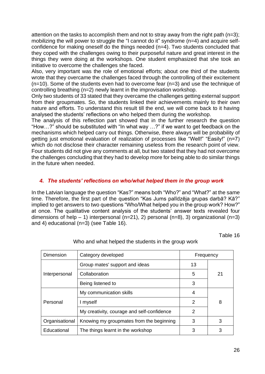attention on the tasks to accomplish them and not to stray away from the right path (n=3); mobilizing the will power to struggle the "I cannot do it" syndrome (n=4) and acquire selfconfidence for making oneself do the things needed (n=4). Two students concluded that they coped with the challenges owing to their purposeful nature and great interest in the things they were doing at the workshops. One student emphasized that she took an initiative to overcome the challenges she faced.

Also, very important was the role of emotional efforts; about one third of the students wrote that they overcame the challenges faced through the controlling of their excitement (n=10). Some of the students even had to overcome fear (n=3) and use the technique of controlling breathing (n=2) newly learnt in the improvisation workshop.

Only two students of 33 stated that they overcame the challenges getting external support from their groupmates. So, the students linked their achievements mainly to their own nature and efforts. To understand this result till the end, we will come back to it having analysed the students' reflections on who helped them during the workshop.

The analysis of this reflection part showed that in the further research the question "How…?" should be substituted with "In what way …?" if we want to get feedback on the mechanisms which helped carry out things. Otherwise, there always will be probability of getting just emotional evaluation of realization of processes like "Well!" "Easily!" (n=7) which do not disclose their character remaining useless from the research point of view. Four students did not give any comments at all, but two stated that they had not overcome the challenges concluding that they had to develop more for being able to do similar things in the future when needed.

#### *4. The students' reflections on who/what helped them in the group work*

In the Latvian language the question "Kas?" means both "Who?" and "What?" at the same time. Therefore, the first part of the question "Kas Jums palīdzēja grupas darbā? Kā?" implied to get answers to two questions "Who/What helped you in the group work? How?" at once. The qualitative content analysis of the students' answer texts revealed four dimensions of help – 1) interpersonal (n=21), 2) personal (n=8), 3) organizational (n=3) and 4) educational (n=3) (see Table 16).

Table 16

| Dimension      | Category developed                         | Frequency |    |
|----------------|--------------------------------------------|-----------|----|
| Interpersonal  | Group mates' support and ideas             | 13        |    |
|                | Collaboration                              | 5         | 21 |
|                | Being listened to                          | 3         |    |
| Personal       | My communication skills                    | 4         |    |
|                | I myself                                   | 2         | 8  |
|                | My creativity, courage and self-confidence | 2         |    |
| Organisational | Knowing my groupmates from the beginning   | 3         | 3  |
| Educational    | The things learnt in the workshop          | 3         | 3  |

#### Who and what helped the students in the group work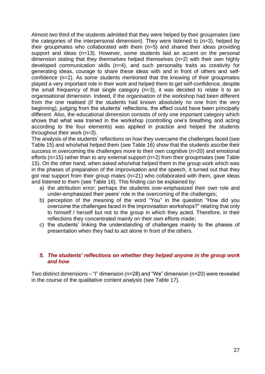Almost two third of the students admitted that they were helped by their groupmates (see the categories of the interpersonal dimension). They were listened to (n=3), helped by their groupmates who collaborated with them (n=5) and shared their ideas providing support and ideas (n=13). However, some students laid an accent on the personal dimension stating that they themselves helped themselves (n=2) with their own highly developed communication skills (n=4), and such personality traits as creativity for generating ideas, courage to share these ideas with and in front of others and selfconfidence (n=2). As some students mentioned that the knowing of their groupmates played a very important role in their work and helped them to get self-confidence, despite the small frequency of that single category (n=3), it was decided to relate it to an organisational dimension. Indeed, if the organisation of the workshop had been different from the one realised (if the students had known absolutely no one from the very beginning), judging from the students' reflections, the effect could have been principally different. Also, the educational dimension consists of only one important category which shows that what was trained in the workshop (controlling one's breathing and acting according to the four elements) was applied in practice and helped the students throughout their work (n=3).

The analysis of the students' reflections on how they overcame the challenges faced (see Table 15) and who/what helped them (see Table 16) show that the students ascribe their success in overcoming the challenges more to their own cognitive (n=20) and emotional efforts (n=15) rather than to any external support (n=2) from their groupmates (see Table 15). On the other hand, when asked who/what helped them in the group work which was in the phases of preparation of the improvisation and the speech, it turned out that they got real support from their group mates (n=21) who collaborated with them, gave ideas and listened to them (see Table 16). This finding can be explained by:

- a) the attribution error; perhaps the students over-emphasized their own role and under-emphasized their peers' role in the overcoming of the challenges;
- b) perception of the meaning of the word "You" in the question "How did you overcome the challenges faced in the improvisation workshops?" relating that only to himself / herself but not to the group in which they acted. Therefore, in their reflections they concentrated mainly on their own efforts made;
- c) the students' linking the understanding of challenges mainly to the phases of presentation when they had to act alone in front of the others.

#### *5. The students' reflections on whether they helped anyone in the group work and how*

Two distinct dimensions – "I" dimension (n=28) and "We" dimension (n=20) were revealed in the course of the qualitative content analysis (see Table 17).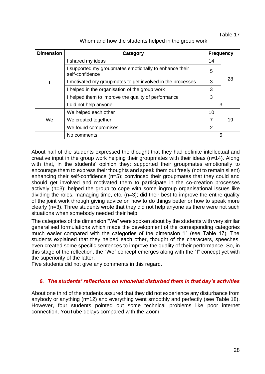#### Table 17

| <b>Dimension</b> | <b>Category</b>                                                           |               | <b>Frequency</b> |  |
|------------------|---------------------------------------------------------------------------|---------------|------------------|--|
|                  | I shared my ideas                                                         | 14            |                  |  |
|                  | I supported my groupmates emotionally to enhance their<br>self-confidence | 5             | 28               |  |
|                  | I motivated my groupmates to get involved in the processes                | 3             |                  |  |
|                  | I helped in the organisation of the group work                            | 3             |                  |  |
|                  | I helped them to improve the quality of performance                       | 3             |                  |  |
|                  | I did not help anyone                                                     |               | 3                |  |
| We               | We helped each other                                                      | 10            |                  |  |
|                  | We created together                                                       | 7             | 19               |  |
|                  | We found compromises                                                      | $\mathcal{P}$ |                  |  |
|                  | No comments                                                               |               | 5                |  |

About half of the students expressed the thought that they had definite intellectual and creative input in the group work helping their groupmates with their ideas (n=14). Along with that, in the students' opinion they: supported their groupmates emotionally to encourage them to express their thoughts and speak them out freely (not to remain silent) enhancing their self-confidence (n=5); convinced their groupmates that they could and should get involved and motivated them to participate in the co-creation processes actively (n=3); helped the group to cope with some ingroup organisational issues like dividing the roles, managing time, etc.  $(n=3)$ ; did their best to improve the entire quality of the joint work through giving advice on how to do things better or how to speak more clearly (n=3). Three students wrote that they did not help anyone as there were not such situations when somebody needed their help.

The categories of the dimension "We" were spoken about by the students with very similar generalised formulations which made the development of the corresponding categories much easier compared with the categories of the dimension "I" (see Table 17). The students explained that they helped each other, thought of the characters, speeches, even created some specific sentences to improve the quality of their performance. So, in this stage of the reflection, the "We" concept emerges along with the "I" concept yet with the superiority of the latter.

Five students did not give any comments in this regard.

#### *6. The students' reflections on who/what disturbed them in that day's activities*

About one third of the students assured that they did not experience any disturbance from anybody or anything (n=12) and everything went smoothly and perfectly (see Table 18). However, four students pointed out some technical problems like poor internet connection, YouTube delays compared with the Zoom.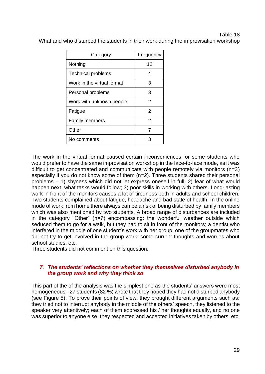### Table 18 What and who disturbed the students in their work during the improvisation workshop

| Category                   | Frequency     |
|----------------------------|---------------|
| Nothing                    | 12            |
| <b>Technical problems</b>  | 4             |
| Work in the virtual format | 3             |
| Personal problems          | 3             |
| Work with unknown people   | $\mathcal{P}$ |
| Fatigue                    | $\mathcal{P}$ |
| <b>Family members</b>      | $\mathcal{P}$ |
| Other                      | 7             |
| No comments                | 3             |

The work in the virtual format caused certain inconveniences for some students who would prefer to have the same improvisation workshop in the face-to-face mode, as it was difficult to get concentrated and communicate with people remotely via monitors (n=3) especially if you do not know some of them (n=2). Three students shared their personal problems – 1) shyness which did not let express oneself in full; 2) fear of what would happen next, what tasks would follow; 3) poor skills in working with others. Long-lasting work in front of the monitors causes a lot of tiredness both in adults and school children. Two students complained about fatigue, headache and bad state of health. In the online mode of work from home there always can be a risk of being disturbed by family members which was also mentioned by two students. A broad range of disturbances are included in the category "Other" (n=7) encompassing: the wonderful weather outside which seduced them to go for a walk, but they had to sit in front of the monitors; a dentist who interfered in the middle of one student's work with her group; one of the groupmates who did not try to get involved in the group work; some current thoughts and worries about school studies, etc.

Three students did not comment on this question.

#### *7. The students' reflections on whether they themselves disturbed anybody in the group work and why they think so*

This part of the of the analysis was the simplest one as the students' answers were most homogeneous - 27 students (82 %) wrote that they hoped they had not disturbed anybody (see Figure 5). To prove their points of view, they brought different arguments such as: they tried not to interrupt anybody in the middle of the others' speech, they listened to the speaker very attentively; each of them expressed his / her thoughts equally, and no one was superior to anyone else; they respected and accepted initiatives taken by others, etc.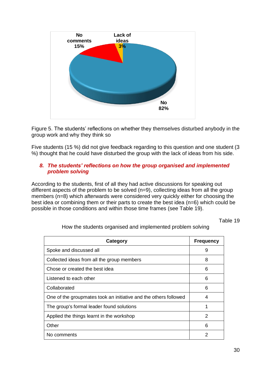

Figure 5. The students' reflections on whether they themselves disturbed anybody in the group work and why they think so

Five students (15 %) did not give feedback regarding to this question and one student (3 %) thought that he could have disturbed the group with the lack of ideas from his side.

#### *8. The students' reflections on how the group organised and implemented problem solving*

According to the students, first of all they had active discussions for speaking out different aspects of the problem to be solved (n=9), collecting ideas from all the group members (n=8) which afterwards were considered very quickly either for choosing the best idea or combining them or their parts to create the best idea (n=6) which could be possible in those conditions and within those time frames (see Table 19).

Table 19

| Category                                                         | <b>Frequency</b> |
|------------------------------------------------------------------|------------------|
| Spoke and discussed all                                          | 9                |
| Collected ideas from all the group members                       | 8                |
| Chose or created the best idea                                   | 6                |
| Listened to each other                                           | 6                |
| Collaborated                                                     | 6                |
| One of the groupmates took an initiative and the others followed | 4                |
| The group's formal leader found solutions                        |                  |
| Applied the things learnt in the workshop                        | 2                |
| Other                                                            | 6                |
| No comments                                                      | 2                |

How the students organised and implemented problem solving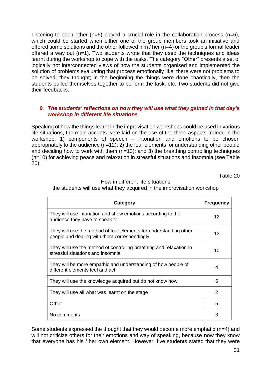Listening to each other ( $n=6$ ) played a crucial role in the collaboration process ( $n=6$ ), which could be started when either one of the group members took an initiative and offered some solutions and the other followed him / her (n=4) or the group's formal leader offered a way out (n=1). Two students wrote that they used the techniques and ideas learnt during the workshop to cope with the tasks. The category "Other" presents a set of logically not interconnected views of how the students organised and implemented the solution of problems evaluating that process emotionally like: there were not problems to be solved; they thought; in the beginning the things were done chaotically, then the students pulled themselves together to perform the task, etc. Two students did not give their feedbacks.

#### *9. The students' reflections on how they will use what they gained in that day's workshop in different life situations*

Speaking of how the things learnt in the improvisation workshops could be used in various life situations, the main accents were laid on the use of the three aspects trained in the workshop: 1) components of speech – intonation and emotions to be chosen appropriately to the audience  $(n=12)$ ; 2) the four elements for understanding other people and deciding how to work with them  $(n=13)$ ; and 3) the breathing controlling techniques (n=10) for achieving peace and relaxation in stressful situations and insomnia (see Table 20).

Table 20

| Category                                                                                                          | <b>Frequency</b> |
|-------------------------------------------------------------------------------------------------------------------|------------------|
| They will use intonation and show emotions according to the<br>audience they have to speak to                     | 12               |
| They will use the method of four elements for understanding other<br>people and dealing with them correspondingly | 13               |
| They will use the method of controlling breathing and relaxation in<br>stressful situations and insomnia          | 10               |
| They will be more empathic and understanding of how people of<br>different elements feel and act                  | 4                |
| They will use the knowledge acquired but do not know how                                                          | 5                |
| They will use all what was learnt on the stage                                                                    | 2                |
| Other                                                                                                             | 5                |
| No comments                                                                                                       | 3                |

#### How in different life situations the students will use what they acquired in the improvisation workshop

Some students expressed the thought that they would become more emphatic (n=4) and will not criticize others for their emotions and way of speaking, because now they know that everyone has his / her own element. However, five students stated that they were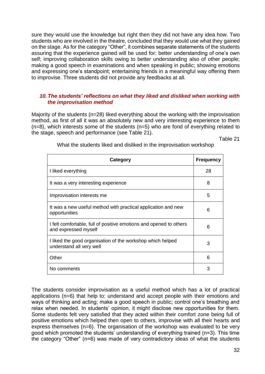sure they would use the knowledge but right then they did not have any idea how. Two students who are involved in the theatre, concluded that they would use what they gained on the stage. As for the category "Other", it combines separate statements of the students assuring that the experience gained will be used for: better understanding of one's own self; improving collaboration skills owing to better understanding also of other people; making a good speech in examinations and when speaking in public; showing emotions and expressing one's standpoint; entertaining friends in a meaningful way offering them to improvise. Three students did not provide any feedbacks at all.

#### *10.The students' reflections on what they liked and disliked when working with the improvisation method*

Majority of the students (n=28) liked everything about the working with the improvisation method, as first of all it was an absolutely new and very interesting experience to them  $(n=8)$ , which interests some of the students  $(n=5)$  who are fond of everything related to the stage, speech and performance (see Table 21).

Table 21

| <b>Category</b>                                                                            | <b>Frequency</b> |
|--------------------------------------------------------------------------------------------|------------------|
| I liked everything                                                                         | 28               |
| It was a very interesting experience                                                       | 8                |
| Improvisation interests me                                                                 | 5                |
| It was a new useful method with practical application and new<br>opportunities             | 6                |
| I felt comfortable, full of positive emotions and opened to others<br>and expressed myself | 6                |
| I liked the good organisation of the workshop which helped<br>understand all very well     | 3                |
| Other                                                                                      | 6                |
| No comments                                                                                | 3                |

What the students liked and disliked in the improvisation workshop

The students consider improvisation as a useful method which has a lot of practical applications (n=6) that help to: understand and accept people with their emotions and ways of thinking and acting; make a good speech in public; control one's breathing and relax when needed. In students' opinion, it might disclose new opportunities for them. Some students felt very satisfied that they acted within their comfort zone being full of positive emotions which helped then open to others, improvise with all their hearts and express themselves (n=6). The organisation of the workshop was evaluated to be very good which promoted the students' understanding of everything trained (n=3). This time the category "Other" (n=6) was made of very contradictory ideas of what the students